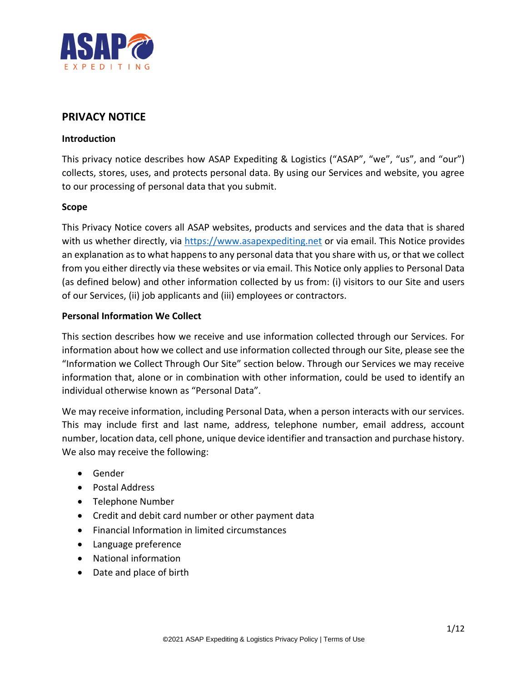

# **PRIVACY NOTICE**

### **Introduction**

This privacy notice describes how ASAP Expediting & Logistics ("ASAP", "we", "us", and "our") collects, stores, uses, and protects personal data. By using our Services and website, you agree to our processing of personal data that you submit.

#### **Scope**

This Privacy Notice covers all ASAP websites, products and services and the data that is shared with us whether directly, via [https://www.asapexpediting.net](https://www.asapexpediting.net/) or via email. This Notice provides an explanation as to what happens to any personal data that you share with us, or that we collect from you either directly via these websites or via email. This Notice only applies to Personal Data (as defined below) and other information collected by us from: (i) visitors to our Site and users of our Services, (ii) job applicants and (iii) employees or contractors.

#### **Personal Information We Collect**

This section describes how we receive and use information collected through our Services. For information about how we collect and use information collected through our Site, please see the "Information we Collect Through Our Site" section below. Through our Services we may receive information that, alone or in combination with other information, could be used to identify an individual otherwise known as "Personal Data".

We may receive information, including Personal Data, when a person interacts with our services. This may include first and last name, address, telephone number, email address, account number, location data, cell phone, unique device identifier and transaction and purchase history. We also may receive the following:

- Gender
- Postal Address
- Telephone Number
- Credit and debit card number or other payment data
- Financial Information in limited circumstances
- Language preference
- National information
- Date and place of birth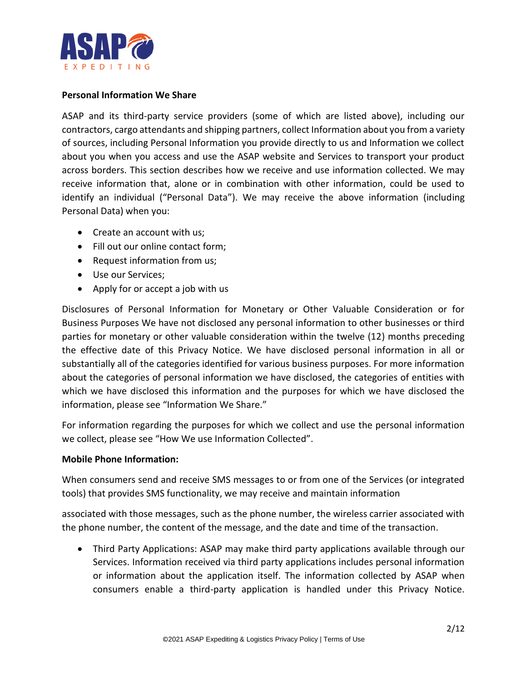

### **Personal Information We Share**

ASAP and its third-party service providers (some of which are listed above), including our contractors, cargo attendants and shipping partners, collect Information about you from a variety of sources, including Personal Information you provide directly to us and Information we collect about you when you access and use the ASAP website and Services to transport your product across borders. This section describes how we receive and use information collected. We may receive information that, alone or in combination with other information, could be used to identify an individual ("Personal Data"). We may receive the above information (including Personal Data) when you:

- Create an account with us;
- Fill out our online contact form;
- Request information from us;
- Use our Services;
- Apply for or accept a job with us

Disclosures of Personal Information for Monetary or Other Valuable Consideration or for Business Purposes We have not disclosed any personal information to other businesses or third parties for monetary or other valuable consideration within the twelve (12) months preceding the effective date of this Privacy Notice. We have disclosed personal information in all or substantially all of the categories identified for various business purposes. For more information about the categories of personal information we have disclosed, the categories of entities with which we have disclosed this information and the purposes for which we have disclosed the information, please see "Information We Share."

For information regarding the purposes for which we collect and use the personal information we collect, please see "How We use Information Collected".

#### **Mobile Phone Information:**

When consumers send and receive SMS messages to or from one of the Services (or integrated tools) that provides SMS functionality, we may receive and maintain information

associated with those messages, such as the phone number, the wireless carrier associated with the phone number, the content of the message, and the date and time of the transaction.

• Third Party Applications: ASAP may make third party applications available through our Services. Information received via third party applications includes personal information or information about the application itself. The information collected by ASAP when consumers enable a third-party application is handled under this Privacy Notice.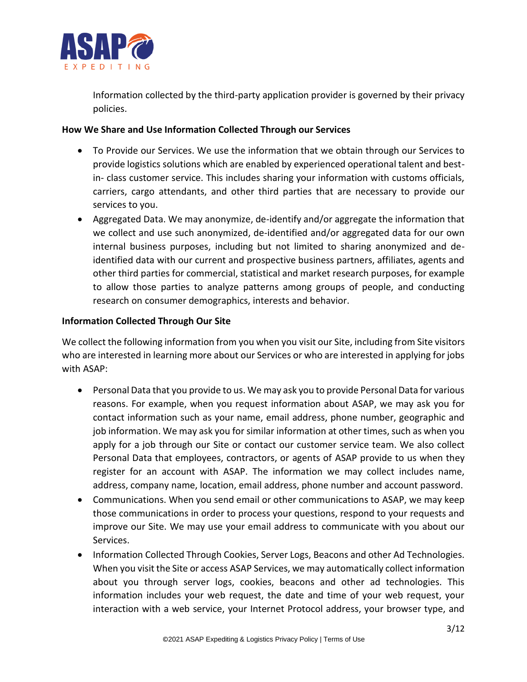

Information collected by the third-party application provider is governed by their privacy policies.

# **How We Share and Use Information Collected Through our Services**

- To Provide our Services. We use the information that we obtain through our Services to provide logistics solutions which are enabled by experienced operational talent and bestin- class customer service. This includes sharing your information with customs officials, carriers, cargo attendants, and other third parties that are necessary to provide our services to you.
- Aggregated Data. We may anonymize, de-identify and/or aggregate the information that we collect and use such anonymized, de-identified and/or aggregated data for our own internal business purposes, including but not limited to sharing anonymized and deidentified data with our current and prospective business partners, affiliates, agents and other third parties for commercial, statistical and market research purposes, for example to allow those parties to analyze patterns among groups of people, and conducting research on consumer demographics, interests and behavior.

# **Information Collected Through Our Site**

We collect the following information from you when you visit our Site, including from Site visitors who are interested in learning more about our Services or who are interested in applying for jobs with ASAP:

- Personal Data that you provide to us. We may ask you to provide Personal Data for various reasons. For example, when you request information about ASAP, we may ask you for contact information such as your name, email address, phone number, geographic and job information. We may ask you for similar information at other times, such as when you apply for a job through our Site or contact our customer service team. We also collect Personal Data that employees, contractors, or agents of ASAP provide to us when they register for an account with ASAP. The information we may collect includes name, address, company name, location, email address, phone number and account password.
- Communications. When you send email or other communications to ASAP, we may keep those communications in order to process your questions, respond to your requests and improve our Site. We may use your email address to communicate with you about our Services.
- Information Collected Through Cookies, Server Logs, Beacons and other Ad Technologies. When you visit the Site or access ASAP Services, we may automatically collect information about you through server logs, cookies, beacons and other ad technologies. This information includes your web request, the date and time of your web request, your interaction with a web service, your Internet Protocol address, your browser type, and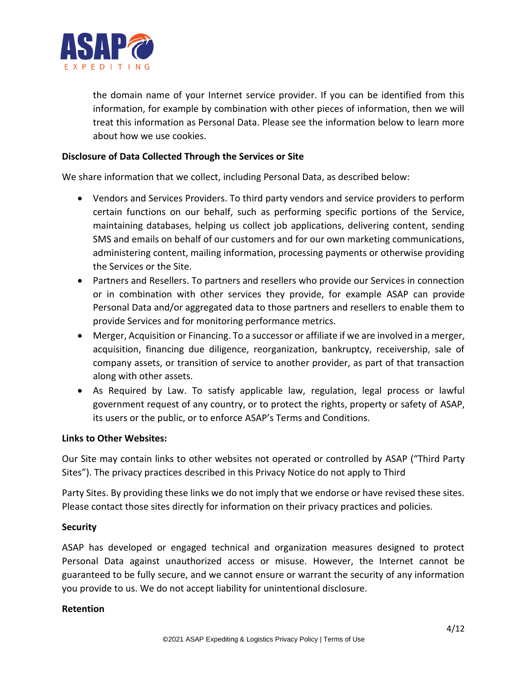

the domain name of your Internet service provider. If you can be identified from this information, for example by combination with other pieces of information, then we will treat this information as Personal Data. Please see the information below to learn more about how we use cookies.

### **Disclosure of Data Collected Through the Services or Site**

We share information that we collect, including Personal Data, as described below:

- Vendors and Services Providers. To third party vendors and service providers to perform certain functions on our behalf, such as performing specific portions of the Service, maintaining databases, helping us collect job applications, delivering content, sending SMS and emails on behalf of our customers and for our own marketing communications, administering content, mailing information, processing payments or otherwise providing the Services or the Site.
- Partners and Resellers. To partners and resellers who provide our Services in connection or in combination with other services they provide, for example ASAP can provide Personal Data and/or aggregated data to those partners and resellers to enable them to provide Services and for monitoring performance metrics.
- Merger, Acquisition or Financing. To a successor or affiliate if we are involved in a merger, acquisition, financing due diligence, reorganization, bankruptcy, receivership, sale of company assets, or transition of service to another provider, as part of that transaction along with other assets.
- As Required by Law. To satisfy applicable law, regulation, legal process or lawful government request of any country, or to protect the rights, property or safety of ASAP, its users or the public, or to enforce ASAP's Terms and Conditions.

### **Links to Other Websites:**

Our Site may contain links to other websites not operated or controlled by ASAP ("Third Party Sites"). The privacy practices described in this Privacy Notice do not apply to Third

Party Sites. By providing these links we do not imply that we endorse or have revised these sites. Please contact those sites directly for information on their privacy practices and policies.

### **Security**

ASAP has developed or engaged technical and organization measures designed to protect Personal Data against unauthorized access or misuse. However, the Internet cannot be guaranteed to be fully secure, and we cannot ensure or warrant the security of any information you provide to us. We do not accept liability for unintentional disclosure.

### **Retention**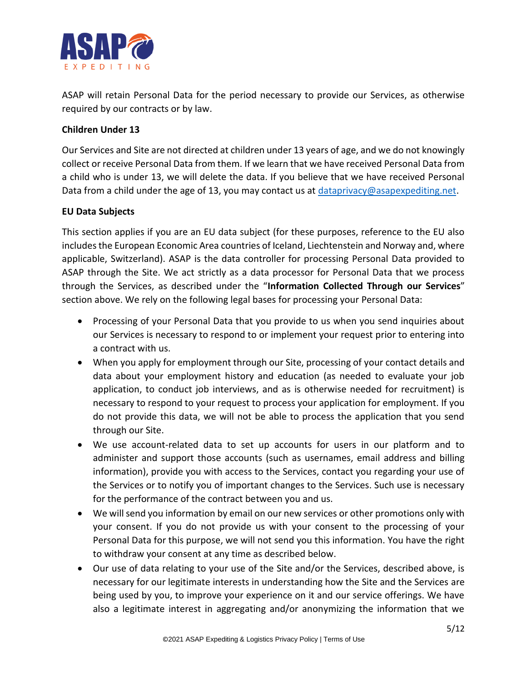

ASAP will retain Personal Data for the period necessary to provide our Services, as otherwise required by our contracts or by law.

# **Children Under 13**

Our Services and Site are not directed at children under 13 years of age, and we do not knowingly collect or receive Personal Data from them. If we learn that we have received Personal Data from a child who is under 13, we will delete the data. If you believe that we have received Personal Data from a child under the age of 13, you may contact us at [dataprivacy@asapexpediting.net.](mailto:dataprivacy@asapexpediting.net)

# **EU Data Subjects**

This section applies if you are an EU data subject (for these purposes, reference to the EU also includes the European Economic Area countries of Iceland, Liechtenstein and Norway and, where applicable, Switzerland). ASAP is the data controller for processing Personal Data provided to ASAP through the Site. We act strictly as a data processor for Personal Data that we process through the Services, as described under the "**Information Collected Through our Services**" section above. We rely on the following legal bases for processing your Personal Data:

- Processing of your Personal Data that you provide to us when you send inquiries about our Services is necessary to respond to or implement your request prior to entering into a contract with us.
- When you apply for employment through our Site, processing of your contact details and data about your employment history and education (as needed to evaluate your job application, to conduct job interviews, and as is otherwise needed for recruitment) is necessary to respond to your request to process your application for employment. If you do not provide this data, we will not be able to process the application that you send through our Site.
- We use account-related data to set up accounts for users in our platform and to administer and support those accounts (such as usernames, email address and billing information), provide you with access to the Services, contact you regarding your use of the Services or to notify you of important changes to the Services. Such use is necessary for the performance of the contract between you and us.
- We will send you information by email on our new services or other promotions only with your consent. If you do not provide us with your consent to the processing of your Personal Data for this purpose, we will not send you this information. You have the right to withdraw your consent at any time as described below.
- Our use of data relating to your use of the Site and/or the Services, described above, is necessary for our legitimate interests in understanding how the Site and the Services are being used by you, to improve your experience on it and our service offerings. We have also a legitimate interest in aggregating and/or anonymizing the information that we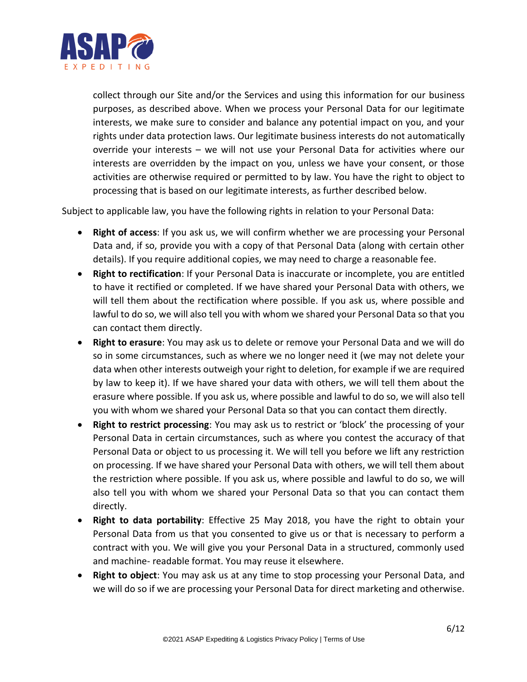

collect through our Site and/or the Services and using this information for our business purposes, as described above. When we process your Personal Data for our legitimate interests, we make sure to consider and balance any potential impact on you, and your rights under data protection laws. Our legitimate business interests do not automatically override your interests – we will not use your Personal Data for activities where our interests are overridden by the impact on you, unless we have your consent, or those activities are otherwise required or permitted to by law. You have the right to object to processing that is based on our legitimate interests, as further described below.

Subject to applicable law, you have the following rights in relation to your Personal Data:

- **Right of access**: If you ask us, we will confirm whether we are processing your Personal Data and, if so, provide you with a copy of that Personal Data (along with certain other details). If you require additional copies, we may need to charge a reasonable fee.
- **Right to rectification**: If your Personal Data is inaccurate or incomplete, you are entitled to have it rectified or completed. If we have shared your Personal Data with others, we will tell them about the rectification where possible. If you ask us, where possible and lawful to do so, we will also tell you with whom we shared your Personal Data so that you can contact them directly.
- **Right to erasure**: You may ask us to delete or remove your Personal Data and we will do so in some circumstances, such as where we no longer need it (we may not delete your data when other interests outweigh your right to deletion, for example if we are required by law to keep it). If we have shared your data with others, we will tell them about the erasure where possible. If you ask us, where possible and lawful to do so, we will also tell you with whom we shared your Personal Data so that you can contact them directly.
- **Right to restrict processing**: You may ask us to restrict or 'block' the processing of your Personal Data in certain circumstances, such as where you contest the accuracy of that Personal Data or object to us processing it. We will tell you before we lift any restriction on processing. If we have shared your Personal Data with others, we will tell them about the restriction where possible. If you ask us, where possible and lawful to do so, we will also tell you with whom we shared your Personal Data so that you can contact them directly.
- **Right to data portability**: Effective 25 May 2018, you have the right to obtain your Personal Data from us that you consented to give us or that is necessary to perform a contract with you. We will give you your Personal Data in a structured, commonly used and machine- readable format. You may reuse it elsewhere.
- **Right to object**: You may ask us at any time to stop processing your Personal Data, and we will do so if we are processing your Personal Data for direct marketing and otherwise.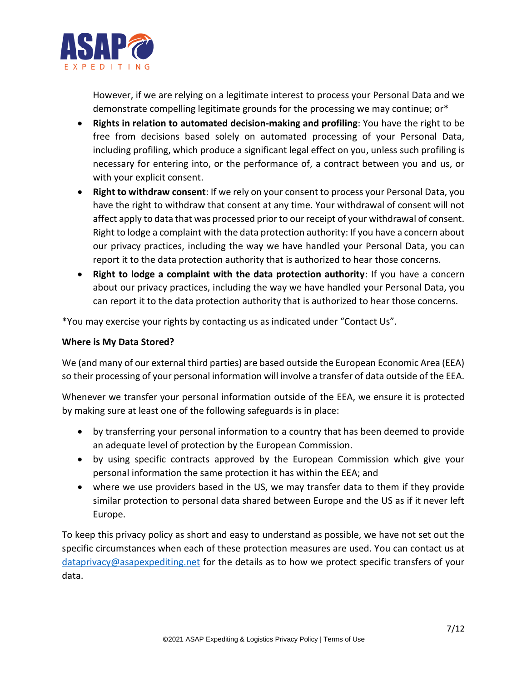

However, if we are relying on a legitimate interest to process your Personal Data and we demonstrate compelling legitimate grounds for the processing we may continue; or\*

- **Rights in relation to automated decision-making and profiling**: You have the right to be free from decisions based solely on automated processing of your Personal Data, including profiling, which produce a significant legal effect on you, unless such profiling is necessary for entering into, or the performance of, a contract between you and us, or with your explicit consent.
- **Right to withdraw consent**: If we rely on your consent to process your Personal Data, you have the right to withdraw that consent at any time. Your withdrawal of consent will not affect apply to data that was processed prior to our receipt of your withdrawal of consent. Right to lodge a complaint with the data protection authority: If you have a concern about our privacy practices, including the way we have handled your Personal Data, you can report it to the data protection authority that is authorized to hear those concerns.
- **Right to lodge a complaint with the data protection authority**: If you have a concern about our privacy practices, including the way we have handled your Personal Data, you can report it to the data protection authority that is authorized to hear those concerns.

\*You may exercise your rights by contacting us as indicated under "Contact Us".

### **Where is My Data Stored?**

We (and many of our external third parties) are based outside the European Economic Area (EEA) so their processing of your personal information will involve a transfer of data outside of the EEA.

Whenever we transfer your personal information outside of the EEA, we ensure it is protected by making sure at least one of the following safeguards is in place:

- by transferring your personal information to a country that has been deemed to provide an adequate level of protection by the European Commission.
- by using specific contracts approved by the European Commission which give your personal information the same protection it has within the EEA; and
- where we use providers based in the US, we may transfer data to them if they provide similar protection to personal data shared between Europe and the US as if it never left Europe.

To keep this privacy policy as short and easy to understand as possible, we have not set out the specific circumstances when each of these protection measures are used. You can contact us at [dataprivacy@asapexpediting.net](mailto:dataprivacy@asapexpediting.net) for the details as to how we protect specific transfers of your data.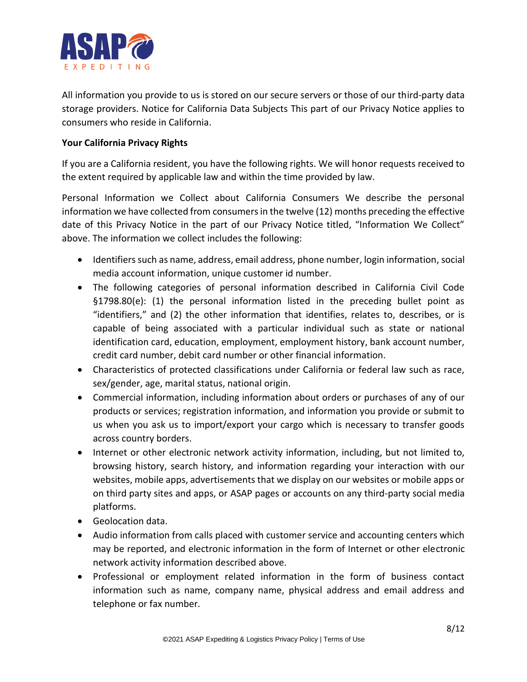

All information you provide to us is stored on our secure servers or those of our third-party data storage providers. Notice for California Data Subjects This part of our Privacy Notice applies to consumers who reside in California.

# **Your California Privacy Rights**

If you are a California resident, you have the following rights. We will honor requests received to the extent required by applicable law and within the time provided by law.

Personal Information we Collect about California Consumers We describe the personal information we have collected from consumers in the twelve (12) months preceding the effective date of this Privacy Notice in the part of our Privacy Notice titled, "Information We Collect" above. The information we collect includes the following:

- Identifiers such as name, address, email address, phone number, login information, social media account information, unique customer id number.
- The following categories of personal information described in California Civil Code §1798.80(e): (1) the personal information listed in the preceding bullet point as "identifiers," and (2) the other information that identifies, relates to, describes, or is capable of being associated with a particular individual such as state or national identification card, education, employment, employment history, bank account number, credit card number, debit card number or other financial information.
- Characteristics of protected classifications under California or federal law such as race, sex/gender, age, marital status, national origin.
- Commercial information, including information about orders or purchases of any of our products or services; registration information, and information you provide or submit to us when you ask us to import/export your cargo which is necessary to transfer goods across country borders.
- Internet or other electronic network activity information, including, but not limited to, browsing history, search history, and information regarding your interaction with our websites, mobile apps, advertisements that we display on our websites or mobile apps or on third party sites and apps, or ASAP pages or accounts on any third-party social media platforms.
- Geolocation data.
- Audio information from calls placed with customer service and accounting centers which may be reported, and electronic information in the form of Internet or other electronic network activity information described above.
- Professional or employment related information in the form of business contact information such as name, company name, physical address and email address and telephone or fax number.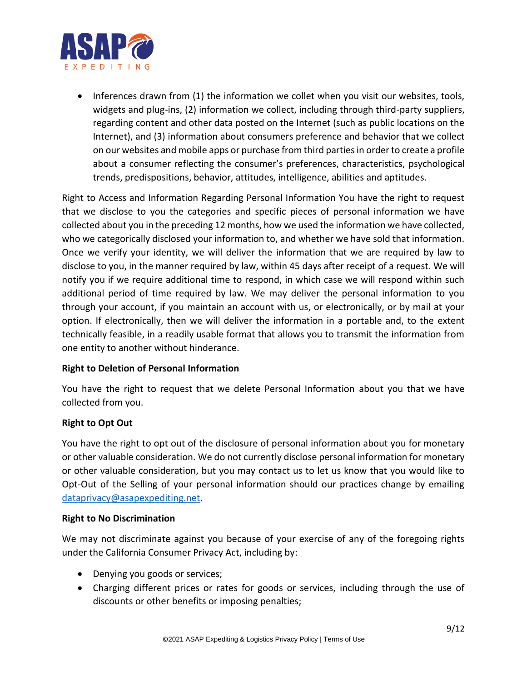

• Inferences drawn from (1) the information we collet when you visit our websites, tools, widgets and plug-ins, (2) information we collect, including through third-party suppliers, regarding content and other data posted on the Internet (such as public locations on the Internet), and (3) information about consumers preference and behavior that we collect on our websites and mobile apps or purchase from third parties in order to create a profile about a consumer reflecting the consumer's preferences, characteristics, psychological trends, predispositions, behavior, attitudes, intelligence, abilities and aptitudes.

Right to Access and Information Regarding Personal Information You have the right to request that we disclose to you the categories and specific pieces of personal information we have collected about you in the preceding 12 months, how we used the information we have collected, who we categorically disclosed your information to, and whether we have sold that information. Once we verify your identity, we will deliver the information that we are required by law to disclose to you, in the manner required by law, within 45 days after receipt of a request. We will notify you if we require additional time to respond, in which case we will respond within such additional period of time required by law. We may deliver the personal information to you through your account, if you maintain an account with us, or electronically, or by mail at your option. If electronically, then we will deliver the information in a portable and, to the extent technically feasible, in a readily usable format that allows you to transmit the information from one entity to another without hinderance.

# **Right to Deletion of Personal Information**

You have the right to request that we delete Personal Information about you that we have collected from you.

### **Right to Opt Out**

You have the right to opt out of the disclosure of personal information about you for monetary or other valuable consideration. We do not currently disclose personal information for monetary or other valuable consideration, but you may contact us to let us know that you would like to Opt-Out of the Selling of your personal information should our practices change by emailing [dataprivacy@asapexpediting.net.](mailto:dataprivacy@asapexpediting.net)

### **Right to No Discrimination**

We may not discriminate against you because of your exercise of any of the foregoing rights under the California Consumer Privacy Act, including by:

- Denying you goods or services;
- Charging different prices or rates for goods or services, including through the use of discounts or other benefits or imposing penalties;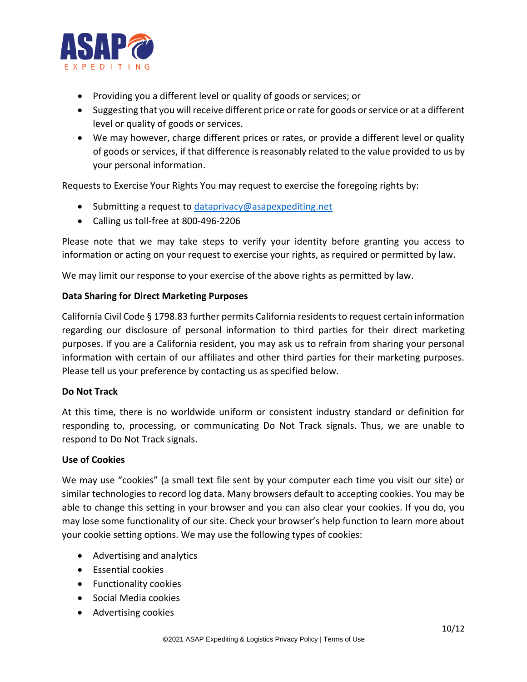

- Providing you a different level or quality of goods or services; or
- Suggesting that you will receive different price or rate for goods or service or at a different level or quality of goods or services.
- We may however, charge different prices or rates, or provide a different level or quality of goods or services, if that difference is reasonably related to the value provided to us by your personal information.

Requests to Exercise Your Rights You may request to exercise the foregoing rights by:

- Submitting a request to [dataprivacy@asapexpediting.net](mailto:dataprivacy@asapexpediting.net)
- Calling us toll-free at 800-496-2206

Please note that we may take steps to verify your identity before granting you access to information or acting on your request to exercise your rights, as required or permitted by law.

We may limit our response to your exercise of the above rights as permitted by law.

### **Data Sharing for Direct Marketing Purposes**

California Civil Code § 1798.83 further permits California residents to request certain information regarding our disclosure of personal information to third parties for their direct marketing purposes. If you are a California resident, you may ask us to refrain from sharing your personal information with certain of our affiliates and other third parties for their marketing purposes. Please tell us your preference by contacting us as specified below.

### **Do Not Track**

At this time, there is no worldwide uniform or consistent industry standard or definition for responding to, processing, or communicating Do Not Track signals. Thus, we are unable to respond to Do Not Track signals.

#### **Use of Cookies**

We may use "cookies" (a small text file sent by your computer each time you visit our site) or similar technologies to record log data. Many browsers default to accepting cookies. You may be able to change this setting in your browser and you can also clear your cookies. If you do, you may lose some functionality of our site. Check your browser's help function to learn more about your cookie setting options. We may use the following types of cookies:

- Advertising and analytics
- Essential cookies
- Functionality cookies
- Social Media cookies
- Advertising cookies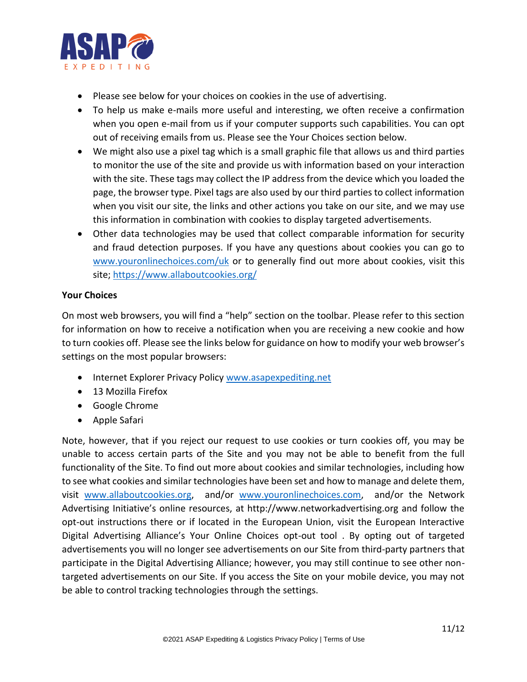

- Please see below for your choices on cookies in the use of advertising.
- To help us make e-mails more useful and interesting, we often receive a confirmation when you open e-mail from us if your computer supports such capabilities. You can opt out of receiving emails from us. Please see the Your Choices section below.
- We might also use a pixel tag which is a small graphic file that allows us and third parties to monitor the use of the site and provide us with information based on your interaction with the site. These tags may collect the IP address from the device which you loaded the page, the browser type. Pixel tags are also used by our third parties to collect information when you visit our site, the links and other actions you take on our site, and we may use this information in combination with cookies to display targeted advertisements.
- Other data technologies may be used that collect comparable information for security and fraud detection purposes. If you have any questions about cookies you can go to [www.youronlinechoices.com/uk](http://www.youronlinechoices.com/uk) or to generally find out more about cookies, visit this site;<https://www.allaboutcookies.org/>

### **Your Choices**

On most web browsers, you will find a "help" section on the toolbar. Please refer to this section for information on how to receive a notification when you are receiving a new cookie and how to turn cookies off. Please see the links below for guidance on how to modify your web browser's settings on the most popular browsers:

- Internet Explorer Privacy Policy [www.asapexpediting.net](http://www.asapexpediting.net/)
- 13 Mozilla Firefox
- Google Chrome
- Apple Safari

Note, however, that if you reject our request to use cookies or turn cookies off, you may be unable to access certain parts of the Site and you may not be able to benefit from the full functionality of the Site. To find out more about cookies and similar technologies, including how to see what cookies and similar technologies have been set and how to manage and delete them, visit [www.allaboutcookies.org,](http://www.allaboutcookies.org/) and/or [www.youronlinechoices.com,](http://www.youronlinechoices.com/) and/or the Network Advertising Initiative's online resources, at http://www.networkadvertising.org and follow the opt-out instructions there or if located in the European Union, visit the European Interactive Digital Advertising Alliance's Your Online Choices opt-out tool . By opting out of targeted advertisements you will no longer see advertisements on our Site from third-party partners that participate in the Digital Advertising Alliance; however, you may still continue to see other nontargeted advertisements on our Site. If you access the Site on your mobile device, you may not be able to control tracking technologies through the settings.